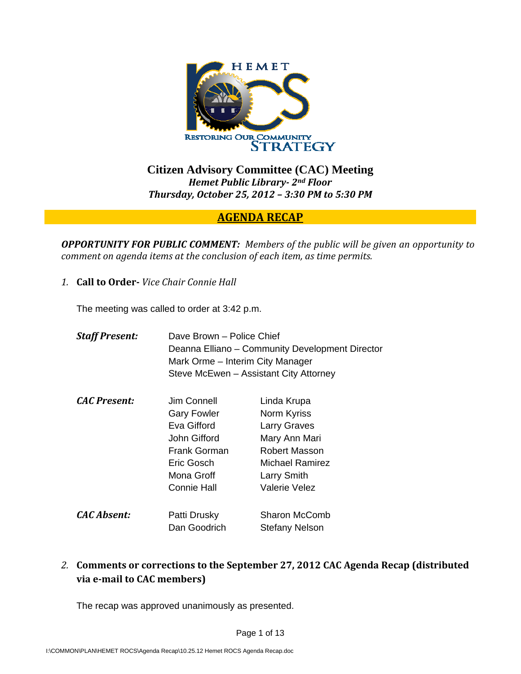

**Citizen Advisory Committee (CAC) Meeting**  *Hemet Public Library 2nd Floor Thursday, October 25, 2012 – 3:30 PM to 5:30 PM*

# **AGENDA RECAP**

*OPPORTUNITY FOR PUBLIC COMMENT: Members of the public will be given an opportunity to comment on agenda items at the conclusion of each item, as time permits.*

*1.* **Call to Order** *Vice Chair Connie Hall*

The meeting was called to order at 3:42 p.m.

| <b>Staff Present:</b> | Dave Brown – Police Chief<br>Deanna Elliano – Community Development Director<br>Mark Orme – Interim City Manager<br>Steve McEwen - Assistant City Attorney |                                                                                                                                        |
|-----------------------|------------------------------------------------------------------------------------------------------------------------------------------------------------|----------------------------------------------------------------------------------------------------------------------------------------|
| <b>CAC Present:</b>   | Jim Connell<br><b>Gary Fowler</b><br>Eva Gifford<br>John Gifford<br>Frank Gorman<br>Eric Gosch<br>Mona Groff<br>Connie Hall                                | Linda Krupa<br>Norm Kyriss<br><b>Larry Graves</b><br>Mary Ann Mari<br>Robert Masson<br>Michael Ramirez<br>Larry Smith<br>Valerie Velez |
| <b>CAC Absent:</b>    | Patti Drusky<br>Dan Goodrich                                                                                                                               | <b>Sharon McComb</b><br>Stefany Nelson                                                                                                 |

*2.* **Comments or corrections to the September 27, 2012 CAC Agenda Recap (distributed via email to CAC members)**

The recap was approved unanimously as presented.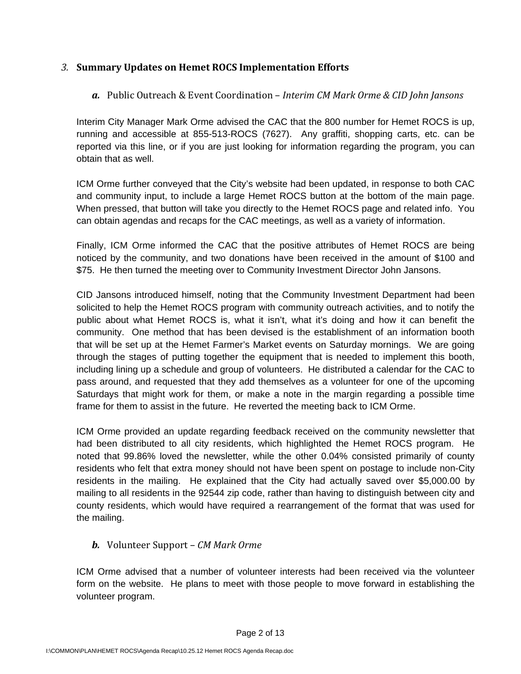## *3.* **Summary Updates on Hemet ROCS Implementation Efforts**

## *a.* Public Outreach & Event Coordination – *Interim CM Mark Orme & CID John Jansons*

Interim City Manager Mark Orme advised the CAC that the 800 number for Hemet ROCS is up, running and accessible at 855-513-ROCS (7627). Any graffiti, shopping carts, etc. can be reported via this line, or if you are just looking for information regarding the program, you can obtain that as well.

ICM Orme further conveyed that the City's website had been updated, in response to both CAC and community input, to include a large Hemet ROCS button at the bottom of the main page. When pressed, that button will take you directly to the Hemet ROCS page and related info. You can obtain agendas and recaps for the CAC meetings, as well as a variety of information.

Finally, ICM Orme informed the CAC that the positive attributes of Hemet ROCS are being noticed by the community, and two donations have been received in the amount of \$100 and \$75. He then turned the meeting over to Community Investment Director John Jansons.

CID Jansons introduced himself, noting that the Community Investment Department had been solicited to help the Hemet ROCS program with community outreach activities, and to notify the public about what Hemet ROCS is, what it isn't, what it's doing and how it can benefit the community. One method that has been devised is the establishment of an information booth that will be set up at the Hemet Farmer's Market events on Saturday mornings. We are going through the stages of putting together the equipment that is needed to implement this booth, including lining up a schedule and group of volunteers. He distributed a calendar for the CAC to pass around, and requested that they add themselves as a volunteer for one of the upcoming Saturdays that might work for them, or make a note in the margin regarding a possible time frame for them to assist in the future. He reverted the meeting back to ICM Orme.

ICM Orme provided an update regarding feedback received on the community newsletter that had been distributed to all city residents, which highlighted the Hemet ROCS program. He noted that 99.86% loved the newsletter, while the other 0.04% consisted primarily of county residents who felt that extra money should not have been spent on postage to include non-City residents in the mailing. He explained that the City had actually saved over \$5,000.00 by mailing to all residents in the 92544 zip code, rather than having to distinguish between city and county residents, which would have required a rearrangement of the format that was used for the mailing.

### *b.* Volunteer Support – *CM Mark Orme*

ICM Orme advised that a number of volunteer interests had been received via the volunteer form on the website. He plans to meet with those people to move forward in establishing the volunteer program.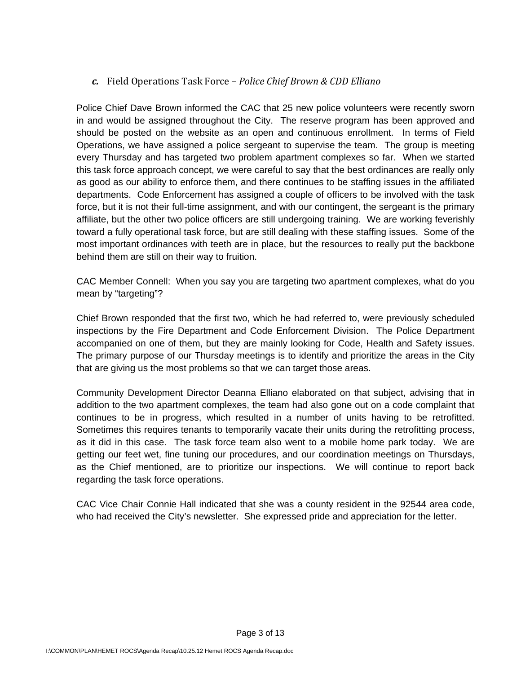*c.* Field Operations Task Force – *Police Chief Brown & CDD Elliano*

Police Chief Dave Brown informed the CAC that 25 new police volunteers were recently sworn in and would be assigned throughout the City. The reserve program has been approved and should be posted on the website as an open and continuous enrollment. In terms of Field Operations, we have assigned a police sergeant to supervise the team. The group is meeting every Thursday and has targeted two problem apartment complexes so far. When we started this task force approach concept, we were careful to say that the best ordinances are really only as good as our ability to enforce them, and there continues to be staffing issues in the affiliated departments. Code Enforcement has assigned a couple of officers to be involved with the task force, but it is not their full-time assignment, and with our contingent, the sergeant is the primary affiliate, but the other two police officers are still undergoing training. We are working feverishly toward a fully operational task force, but are still dealing with these staffing issues. Some of the most important ordinances with teeth are in place, but the resources to really put the backbone behind them are still on their way to fruition.

CAC Member Connell: When you say you are targeting two apartment complexes, what do you mean by "targeting"?

Chief Brown responded that the first two, which he had referred to, were previously scheduled inspections by the Fire Department and Code Enforcement Division. The Police Department accompanied on one of them, but they are mainly looking for Code, Health and Safety issues. The primary purpose of our Thursday meetings is to identify and prioritize the areas in the City that are giving us the most problems so that we can target those areas.

Community Development Director Deanna Elliano elaborated on that subject, advising that in addition to the two apartment complexes, the team had also gone out on a code complaint that continues to be in progress, which resulted in a number of units having to be retrofitted. Sometimes this requires tenants to temporarily vacate their units during the retrofitting process, as it did in this case. The task force team also went to a mobile home park today. We are getting our feet wet, fine tuning our procedures, and our coordination meetings on Thursdays, as the Chief mentioned, are to prioritize our inspections. We will continue to report back regarding the task force operations.

CAC Vice Chair Connie Hall indicated that she was a county resident in the 92544 area code, who had received the City's newsletter. She expressed pride and appreciation for the letter.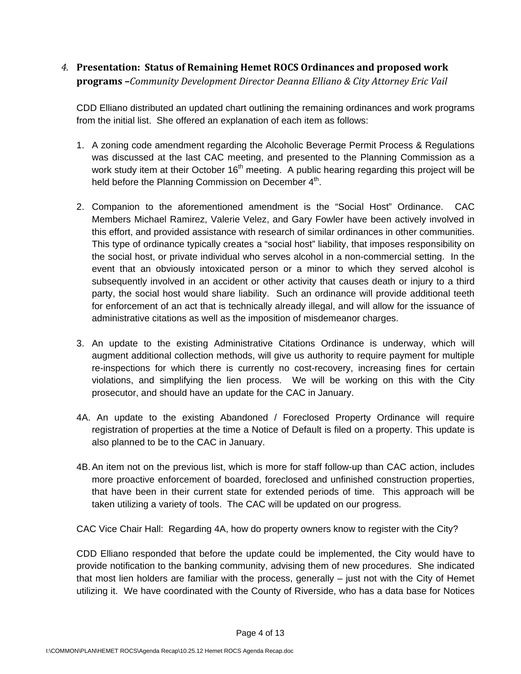# *4.* **Presentation: Status of Remaining Hemet ROCS Ordinances and proposed work programs –***Community Development Director Deanna Elliano & City Attorney Eric Vail*

CDD Elliano distributed an updated chart outlining the remaining ordinances and work programs from the initial list. She offered an explanation of each item as follows:

- 1. A zoning code amendment regarding the Alcoholic Beverage Permit Process & Regulations was discussed at the last CAC meeting, and presented to the Planning Commission as a work study item at their October  $16<sup>th</sup>$  meeting. A public hearing regarding this project will be held before the Planning Commission on December  $4<sup>th</sup>$ .
- 2. Companion to the aforementioned amendment is the "Social Host" Ordinance. CAC Members Michael Ramirez, Valerie Velez, and Gary Fowler have been actively involved in this effort, and provided assistance with research of similar ordinances in other communities. This type of ordinance typically creates a "social host" liability, that imposes responsibility on the social host, or private individual who serves alcohol in a non-commercial setting. In the event that an obviously intoxicated person or a minor to which they served alcohol is subsequently involved in an accident or other activity that causes death or injury to a third party, the social host would share liability. Such an ordinance will provide additional teeth for enforcement of an act that is technically already illegal, and will allow for the issuance of administrative citations as well as the imposition of misdemeanor charges.
- 3. An update to the existing Administrative Citations Ordinance is underway, which will augment additional collection methods, will give us authority to require payment for multiple re-inspections for which there is currently no cost-recovery, increasing fines for certain violations, and simplifying the lien process. We will be working on this with the City prosecutor, and should have an update for the CAC in January.
- 4A. An update to the existing Abandoned / Foreclosed Property Ordinance will require registration of properties at the time a Notice of Default is filed on a property. This update is also planned to be to the CAC in January.
- 4B. An item not on the previous list, which is more for staff follow-up than CAC action, includes more proactive enforcement of boarded, foreclosed and unfinished construction properties, that have been in their current state for extended periods of time. This approach will be taken utilizing a variety of tools. The CAC will be updated on our progress.

CAC Vice Chair Hall: Regarding 4A, how do property owners know to register with the City?

CDD Elliano responded that before the update could be implemented, the City would have to provide notification to the banking community, advising them of new procedures. She indicated that most lien holders are familiar with the process, generally – just not with the City of Hemet utilizing it. We have coordinated with the County of Riverside, who has a data base for Notices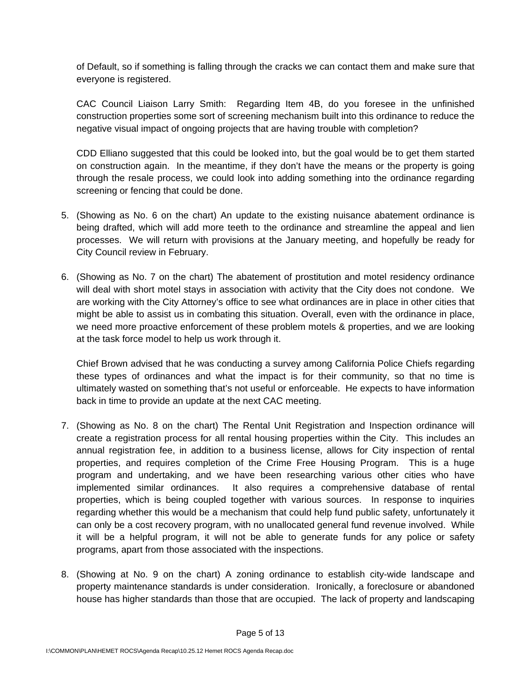of Default, so if something is falling through the cracks we can contact them and make sure that everyone is registered.

CAC Council Liaison Larry Smith: Regarding Item 4B, do you foresee in the unfinished construction properties some sort of screening mechanism built into this ordinance to reduce the negative visual impact of ongoing projects that are having trouble with completion?

CDD Elliano suggested that this could be looked into, but the goal would be to get them started on construction again. In the meantime, if they don't have the means or the property is going through the resale process, we could look into adding something into the ordinance regarding screening or fencing that could be done.

- 5. (Showing as No. 6 on the chart) An update to the existing nuisance abatement ordinance is being drafted, which will add more teeth to the ordinance and streamline the appeal and lien processes. We will return with provisions at the January meeting, and hopefully be ready for City Council review in February.
- 6. (Showing as No. 7 on the chart) The abatement of prostitution and motel residency ordinance will deal with short motel stays in association with activity that the City does not condone. We are working with the City Attorney's office to see what ordinances are in place in other cities that might be able to assist us in combating this situation. Overall, even with the ordinance in place, we need more proactive enforcement of these problem motels & properties, and we are looking at the task force model to help us work through it.

Chief Brown advised that he was conducting a survey among California Police Chiefs regarding these types of ordinances and what the impact is for their community, so that no time is ultimately wasted on something that's not useful or enforceable. He expects to have information back in time to provide an update at the next CAC meeting.

- 7. (Showing as No. 8 on the chart) The Rental Unit Registration and Inspection ordinance will create a registration process for all rental housing properties within the City. This includes an annual registration fee, in addition to a business license, allows for City inspection of rental properties, and requires completion of the Crime Free Housing Program. This is a huge program and undertaking, and we have been researching various other cities who have implemented similar ordinances. It also requires a comprehensive database of rental properties, which is being coupled together with various sources. In response to inquiries regarding whether this would be a mechanism that could help fund public safety, unfortunately it can only be a cost recovery program, with no unallocated general fund revenue involved. While it will be a helpful program, it will not be able to generate funds for any police or safety programs, apart from those associated with the inspections.
- 8. (Showing at No. 9 on the chart) A zoning ordinance to establish city-wide landscape and property maintenance standards is under consideration. Ironically, a foreclosure or abandoned house has higher standards than those that are occupied. The lack of property and landscaping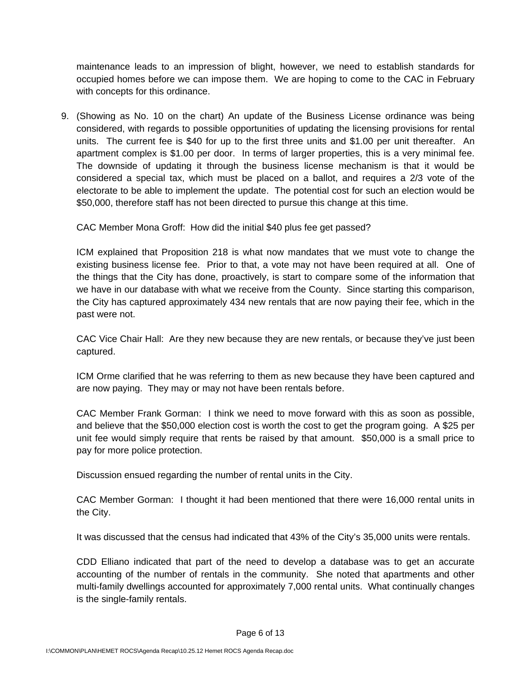maintenance leads to an impression of blight, however, we need to establish standards for occupied homes before we can impose them. We are hoping to come to the CAC in February with concepts for this ordinance.

9. (Showing as No. 10 on the chart) An update of the Business License ordinance was being considered, with regards to possible opportunities of updating the licensing provisions for rental units. The current fee is \$40 for up to the first three units and \$1.00 per unit thereafter. An apartment complex is \$1.00 per door. In terms of larger properties, this is a very minimal fee. The downside of updating it through the business license mechanism is that it would be considered a special tax, which must be placed on a ballot, and requires a 2/3 vote of the electorate to be able to implement the update. The potential cost for such an election would be \$50,000, therefore staff has not been directed to pursue this change at this time.

CAC Member Mona Groff: How did the initial \$40 plus fee get passed?

ICM explained that Proposition 218 is what now mandates that we must vote to change the existing business license fee. Prior to that, a vote may not have been required at all. One of the things that the City has done, proactively, is start to compare some of the information that we have in our database with what we receive from the County. Since starting this comparison, the City has captured approximately 434 new rentals that are now paying their fee, which in the past were not.

CAC Vice Chair Hall: Are they new because they are new rentals, or because they've just been captured.

ICM Orme clarified that he was referring to them as new because they have been captured and are now paying. They may or may not have been rentals before.

CAC Member Frank Gorman: I think we need to move forward with this as soon as possible, and believe that the \$50,000 election cost is worth the cost to get the program going. A \$25 per unit fee would simply require that rents be raised by that amount. \$50,000 is a small price to pay for more police protection.

Discussion ensued regarding the number of rental units in the City.

CAC Member Gorman: I thought it had been mentioned that there were 16,000 rental units in the City.

It was discussed that the census had indicated that 43% of the City's 35,000 units were rentals.

CDD Elliano indicated that part of the need to develop a database was to get an accurate accounting of the number of rentals in the community. She noted that apartments and other multi-family dwellings accounted for approximately 7,000 rental units. What continually changes is the single-family rentals.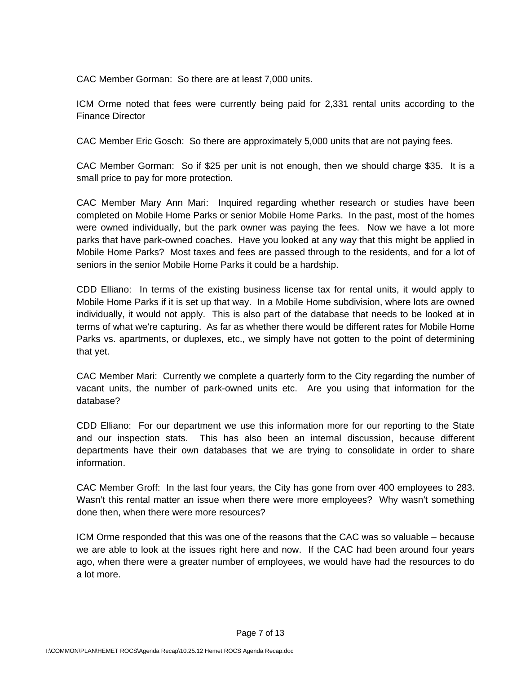CAC Member Gorman: So there are at least 7,000 units.

ICM Orme noted that fees were currently being paid for 2,331 rental units according to the Finance Director

CAC Member Eric Gosch: So there are approximately 5,000 units that are not paying fees.

CAC Member Gorman: So if \$25 per unit is not enough, then we should charge \$35. It is a small price to pay for more protection.

CAC Member Mary Ann Mari: Inquired regarding whether research or studies have been completed on Mobile Home Parks or senior Mobile Home Parks. In the past, most of the homes were owned individually, but the park owner was paying the fees. Now we have a lot more parks that have park-owned coaches. Have you looked at any way that this might be applied in Mobile Home Parks? Most taxes and fees are passed through to the residents, and for a lot of seniors in the senior Mobile Home Parks it could be a hardship.

CDD Elliano: In terms of the existing business license tax for rental units, it would apply to Mobile Home Parks if it is set up that way. In a Mobile Home subdivision, where lots are owned individually, it would not apply. This is also part of the database that needs to be looked at in terms of what we're capturing. As far as whether there would be different rates for Mobile Home Parks vs. apartments, or duplexes, etc., we simply have not gotten to the point of determining that yet.

CAC Member Mari: Currently we complete a quarterly form to the City regarding the number of vacant units, the number of park-owned units etc. Are you using that information for the database?

CDD Elliano: For our department we use this information more for our reporting to the State and our inspection stats. This has also been an internal discussion, because different departments have their own databases that we are trying to consolidate in order to share information.

CAC Member Groff: In the last four years, the City has gone from over 400 employees to 283. Wasn't this rental matter an issue when there were more employees? Why wasn't something done then, when there were more resources?

ICM Orme responded that this was one of the reasons that the CAC was so valuable – because we are able to look at the issues right here and now. If the CAC had been around four years ago, when there were a greater number of employees, we would have had the resources to do a lot more.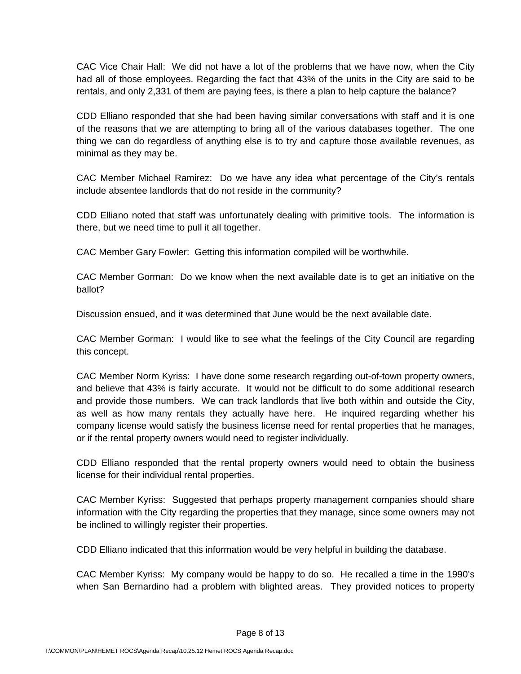CAC Vice Chair Hall: We did not have a lot of the problems that we have now, when the City had all of those employees. Regarding the fact that 43% of the units in the City are said to be rentals, and only 2,331 of them are paying fees, is there a plan to help capture the balance?

CDD Elliano responded that she had been having similar conversations with staff and it is one of the reasons that we are attempting to bring all of the various databases together. The one thing we can do regardless of anything else is to try and capture those available revenues, as minimal as they may be.

CAC Member Michael Ramirez: Do we have any idea what percentage of the City's rentals include absentee landlords that do not reside in the community?

CDD Elliano noted that staff was unfortunately dealing with primitive tools. The information is there, but we need time to pull it all together.

CAC Member Gary Fowler: Getting this information compiled will be worthwhile.

CAC Member Gorman: Do we know when the next available date is to get an initiative on the ballot?

Discussion ensued, and it was determined that June would be the next available date.

CAC Member Gorman: I would like to see what the feelings of the City Council are regarding this concept.

CAC Member Norm Kyriss: I have done some research regarding out-of-town property owners, and believe that 43% is fairly accurate. It would not be difficult to do some additional research and provide those numbers. We can track landlords that live both within and outside the City, as well as how many rentals they actually have here. He inquired regarding whether his company license would satisfy the business license need for rental properties that he manages, or if the rental property owners would need to register individually.

CDD Elliano responded that the rental property owners would need to obtain the business license for their individual rental properties.

CAC Member Kyriss: Suggested that perhaps property management companies should share information with the City regarding the properties that they manage, since some owners may not be inclined to willingly register their properties.

CDD Elliano indicated that this information would be very helpful in building the database.

CAC Member Kyriss: My company would be happy to do so. He recalled a time in the 1990's when San Bernardino had a problem with blighted areas. They provided notices to property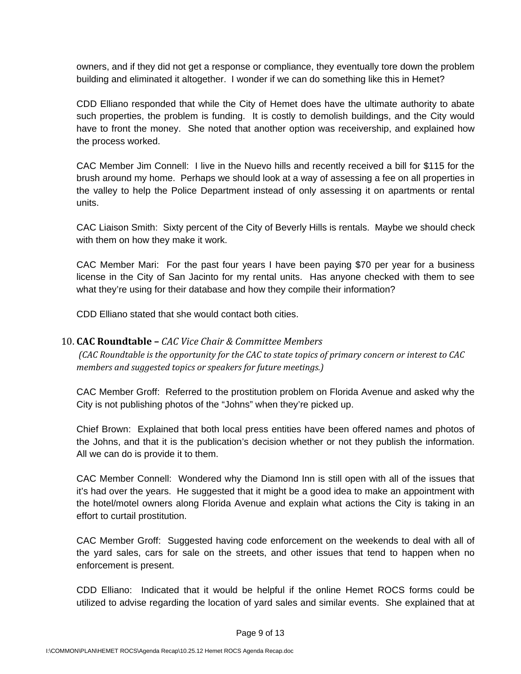owners, and if they did not get a response or compliance, they eventually tore down the problem building and eliminated it altogether. I wonder if we can do something like this in Hemet?

CDD Elliano responded that while the City of Hemet does have the ultimate authority to abate such properties, the problem is funding. It is costly to demolish buildings, and the City would have to front the money. She noted that another option was receivership, and explained how the process worked.

CAC Member Jim Connell: I live in the Nuevo hills and recently received a bill for \$115 for the brush around my home. Perhaps we should look at a way of assessing a fee on all properties in the valley to help the Police Department instead of only assessing it on apartments or rental units.

CAC Liaison Smith: Sixty percent of the City of Beverly Hills is rentals. Maybe we should check with them on how they make it work.

CAC Member Mari: For the past four years I have been paying \$70 per year for a business license in the City of San Jacinto for my rental units. Has anyone checked with them to see what they're using for their database and how they compile their information?

CDD Elliano stated that she would contact both cities.

#### 10. **CAC Roundtable –** *CAC Vice Chair & Committee Members*

(CAC Roundtable is the opportunity for the CAC to state topics of primary concern or interest to CAC *members and suggested topics or speakers for future meetings.)*

CAC Member Groff: Referred to the prostitution problem on Florida Avenue and asked why the City is not publishing photos of the "Johns" when they're picked up.

Chief Brown: Explained that both local press entities have been offered names and photos of the Johns, and that it is the publication's decision whether or not they publish the information. All we can do is provide it to them.

CAC Member Connell: Wondered why the Diamond Inn is still open with all of the issues that it's had over the years. He suggested that it might be a good idea to make an appointment with the hotel/motel owners along Florida Avenue and explain what actions the City is taking in an effort to curtail prostitution.

CAC Member Groff: Suggested having code enforcement on the weekends to deal with all of the yard sales, cars for sale on the streets, and other issues that tend to happen when no enforcement is present.

CDD Elliano: Indicated that it would be helpful if the online Hemet ROCS forms could be utilized to advise regarding the location of yard sales and similar events. She explained that at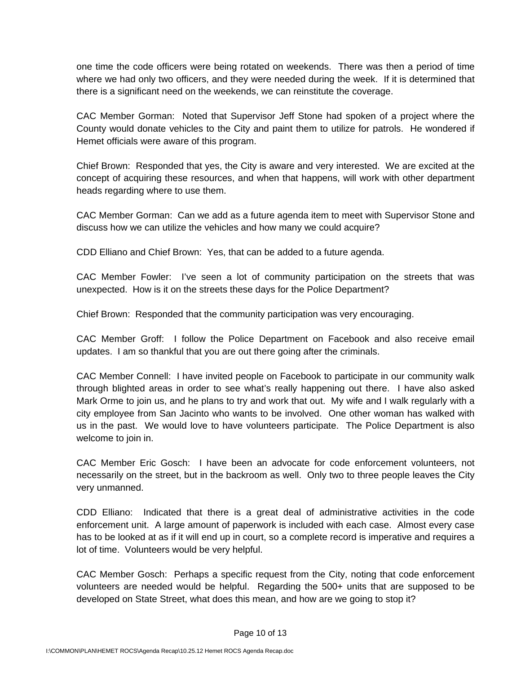one time the code officers were being rotated on weekends. There was then a period of time where we had only two officers, and they were needed during the week. If it is determined that there is a significant need on the weekends, we can reinstitute the coverage.

CAC Member Gorman: Noted that Supervisor Jeff Stone had spoken of a project where the County would donate vehicles to the City and paint them to utilize for patrols. He wondered if Hemet officials were aware of this program.

Chief Brown: Responded that yes, the City is aware and very interested. We are excited at the concept of acquiring these resources, and when that happens, will work with other department heads regarding where to use them.

CAC Member Gorman: Can we add as a future agenda item to meet with Supervisor Stone and discuss how we can utilize the vehicles and how many we could acquire?

CDD Elliano and Chief Brown: Yes, that can be added to a future agenda.

CAC Member Fowler: I've seen a lot of community participation on the streets that was unexpected. How is it on the streets these days for the Police Department?

Chief Brown: Responded that the community participation was very encouraging.

CAC Member Groff: I follow the Police Department on Facebook and also receive email updates. I am so thankful that you are out there going after the criminals.

CAC Member Connell: I have invited people on Facebook to participate in our community walk through blighted areas in order to see what's really happening out there. I have also asked Mark Orme to join us, and he plans to try and work that out. My wife and I walk regularly with a city employee from San Jacinto who wants to be involved. One other woman has walked with us in the past. We would love to have volunteers participate. The Police Department is also welcome to join in.

CAC Member Eric Gosch: I have been an advocate for code enforcement volunteers, not necessarily on the street, but in the backroom as well. Only two to three people leaves the City very unmanned.

CDD Elliano: Indicated that there is a great deal of administrative activities in the code enforcement unit. A large amount of paperwork is included with each case. Almost every case has to be looked at as if it will end up in court, so a complete record is imperative and requires a lot of time. Volunteers would be very helpful.

CAC Member Gosch: Perhaps a specific request from the City, noting that code enforcement volunteers are needed would be helpful. Regarding the 500+ units that are supposed to be developed on State Street, what does this mean, and how are we going to stop it?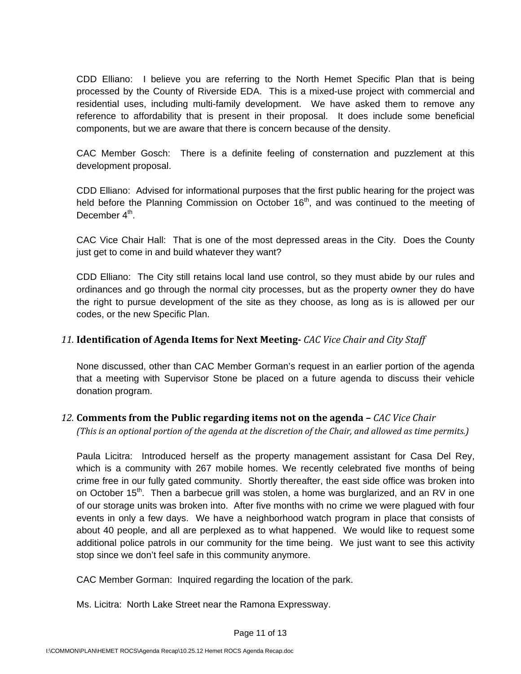CDD Elliano: I believe you are referring to the North Hemet Specific Plan that is being processed by the County of Riverside EDA. This is a mixed-use project with commercial and residential uses, including multi-family development. We have asked them to remove any reference to affordability that is present in their proposal. It does include some beneficial components, but we are aware that there is concern because of the density.

CAC Member Gosch: There is a definite feeling of consternation and puzzlement at this development proposal.

CDD Elliano: Advised for informational purposes that the first public hearing for the project was held before the Planning Commission on October  $16<sup>th</sup>$ , and was continued to the meeting of December  $4<sup>th</sup>$ .

CAC Vice Chair Hall: That is one of the most depressed areas in the City. Does the County just get to come in and build whatever they want?

CDD Elliano: The City still retains local land use control, so they must abide by our rules and ordinances and go through the normal city processes, but as the property owner they do have the right to pursue development of the site as they choose, as long as is is allowed per our codes, or the new Specific Plan.

### *11.* **Identification of Agenda Items for Next Meeting** *CAC Vice Chair and City Staff*

None discussed, other than CAC Member Gorman's request in an earlier portion of the agenda that a meeting with Supervisor Stone be placed on a future agenda to discuss their vehicle donation program.

### *12.* **Comments from the Public regarding items not on the agenda –** *CAC Vice Chair*

(This is an optional portion of the agenda at the discretion of the Chair, and allowed as time permits.)

Paula Licitra: Introduced herself as the property management assistant for Casa Del Rey, which is a community with 267 mobile homes. We recently celebrated five months of being crime free in our fully gated community. Shortly thereafter, the east side office was broken into on October 15<sup>th</sup>. Then a barbecue grill was stolen, a home was burglarized, and an RV in one of our storage units was broken into. After five months with no crime we were plagued with four events in only a few days. We have a neighborhood watch program in place that consists of about 40 people, and all are perplexed as to what happened. We would like to request some additional police patrols in our community for the time being. We just want to see this activity stop since we don't feel safe in this community anymore.

CAC Member Gorman: Inquired regarding the location of the park.

Ms. Licitra: North Lake Street near the Ramona Expressway.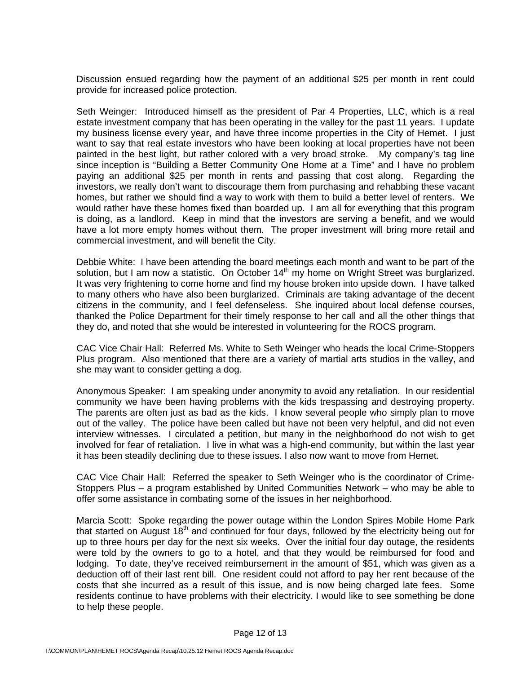Discussion ensued regarding how the payment of an additional \$25 per month in rent could provide for increased police protection.

Seth Weinger: Introduced himself as the president of Par 4 Properties, LLC, which is a real estate investment company that has been operating in the valley for the past 11 years. I update my business license every year, and have three income properties in the City of Hemet. I just want to say that real estate investors who have been looking at local properties have not been painted in the best light, but rather colored with a very broad stroke. My company's tag line since inception is "Building a Better Community One Home at a Time" and I have no problem paying an additional \$25 per month in rents and passing that cost along. Regarding the investors, we really don't want to discourage them from purchasing and rehabbing these vacant homes, but rather we should find a way to work with them to build a better level of renters. We would rather have these homes fixed than boarded up. I am all for everything that this program is doing, as a landlord. Keep in mind that the investors are serving a benefit, and we would have a lot more empty homes without them. The proper investment will bring more retail and commercial investment, and will benefit the City.

Debbie White: I have been attending the board meetings each month and want to be part of the solution, but I am now a statistic. On October  $14<sup>th</sup>$  my home on Wright Street was burglarized. It was very frightening to come home and find my house broken into upside down. I have talked to many others who have also been burglarized. Criminals are taking advantage of the decent citizens in the community, and I feel defenseless. She inquired about local defense courses, thanked the Police Department for their timely response to her call and all the other things that they do, and noted that she would be interested in volunteering for the ROCS program.

CAC Vice Chair Hall: Referred Ms. White to Seth Weinger who heads the local Crime-Stoppers Plus program. Also mentioned that there are a variety of martial arts studios in the valley, and she may want to consider getting a dog.

Anonymous Speaker: I am speaking under anonymity to avoid any retaliation. In our residential community we have been having problems with the kids trespassing and destroying property. The parents are often just as bad as the kids. I know several people who simply plan to move out of the valley. The police have been called but have not been very helpful, and did not even interview witnesses. I circulated a petition, but many in the neighborhood do not wish to get involved for fear of retaliation. I live in what was a high-end community, but within the last year it has been steadily declining due to these issues. I also now want to move from Hemet.

CAC Vice Chair Hall: Referred the speaker to Seth Weinger who is the coordinator of Crime-Stoppers Plus – a program established by United Communities Network – who may be able to offer some assistance in combating some of the issues in her neighborhood.

Marcia Scott: Spoke regarding the power outage within the London Spires Mobile Home Park that started on August 18<sup>th</sup> and continued for four days, followed by the electricity being out for up to three hours per day for the next six weeks. Over the initial four day outage, the residents were told by the owners to go to a hotel, and that they would be reimbursed for food and lodging. To date, they've received reimbursement in the amount of \$51, which was given as a deduction off of their last rent bill. One resident could not afford to pay her rent because of the costs that she incurred as a result of this issue, and is now being charged late fees. Some residents continue to have problems with their electricity. I would like to see something be done to help these people.